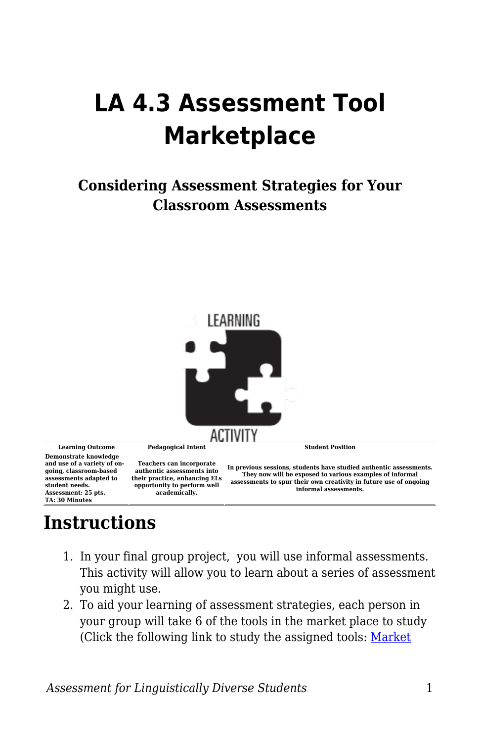## **LA 4.3 Assessment Tool Marketplace**

## **Considering Assessment Strategies for Your Classroom Assessments**



## **Instructions**

- 1. In your final group project, you will use informal assessments. This activity will allow you to learn about a series of assessment you might use.
- 2. To aid your learning of assessment strategies, each person in your group will take 6 of the tools in the market place to study (Click the following link to study the assigned tools: [Market](https://byu.box.com/s/mc6owdakl2zwhnbn1wom9c9oyx9soe1x)